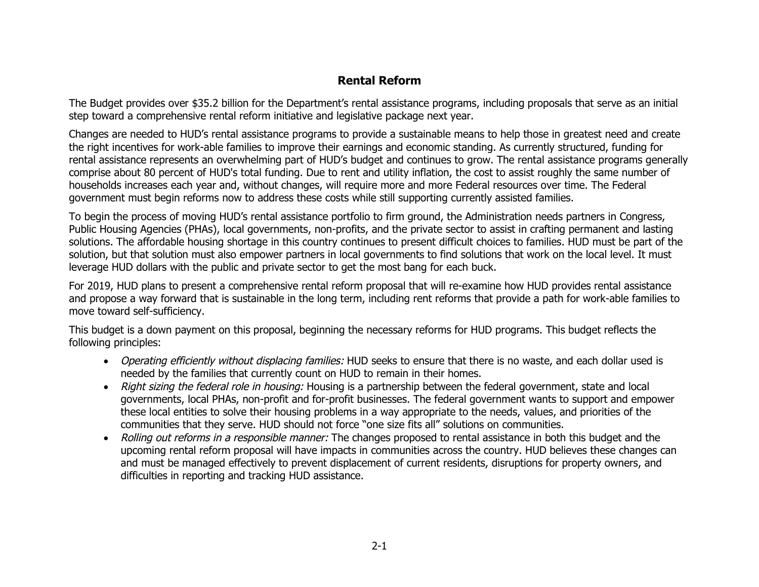## **Rental Reform**

The Budget provides over \$35.2 billion for the Department's rental assistance programs, including proposals that serve as an initial step toward a comprehensive rental reform initiative and legislative package next year.

Changes are needed to HUD's rental assistance programs to provide a sustainable means to help those in greatest need and create the right incentives for work-able families to improve their earnings and economic standing. As currently structured, funding for rental assistance represents an overwhelming part of HUD's budget and continues to grow. The rental assistance programs generally comprise about 80 percent of HUD's total funding. Due to rent and utility inflation, the cost to assist roughly the same number of households increases each year and, without changes, will require more and more Federal resources over time. The Federal government must begin reforms now to address these costs while still supporting currently assisted families.

To begin the process of moving HUD's rental assistance portfolio to firm ground, the Administration needs partners in Congress, Public Housing Agencies (PHAs), local governments, non-profits, and the private sector to assist in crafting permanent and lasting solutions. The affordable housing shortage in this country continues to present difficult choices to families. HUD must be part of the solution, but that solution must also empower partners in local governments to find solutions that work on the local level. It must leverage HUD dollars with the public and private sector to get the most bang for each buck.

For 2019, HUD plans to present a comprehensive rental reform proposal that will re-examine how HUD provides rental assistance and propose a way forward that is sustainable in the long term, including rent reforms that provide a path for work-able families to move toward self-sufficiency.

This budget is a down payment on this proposal, beginning the necessary reforms for HUD programs. This budget reflects the following principles:

- Operating efficiently without displacing families: HUD seeks to ensure that there is no waste, and each dollar used is needed by the families that currently count on HUD to remain in their homes.
- Right sizing the federal role in housing: Housing is a partnership between the federal government, state and local governments, local PHAs, non-profit and for-profit businesses. The federal government wants to support and empower these local entities to solve their housing problems in a way appropriate to the needs, values, and priorities of the communities that they serve. HUD should not force "one size fits all" solutions on communities.
- Rolling out reforms in a responsible manner: The changes proposed to rental assistance in both this budget and the upcoming rental reform proposal will have impacts in communities across the country. HUD believes these changes can and must be managed effectively to prevent displacement of current residents, disruptions for property owners, and difficulties in reporting and tracking HUD assistance.